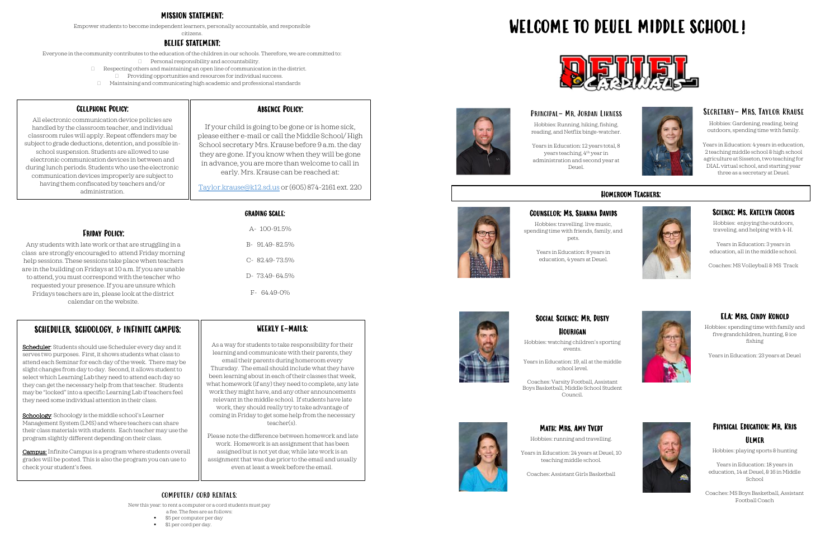### MISSION STATEMENT:

Empower students to become independent learners, personally accountable, and responsible

### citizens.

### BELIEF STATEMENT:

Everyone in the community contributes to the education of the children in our schools. Therefore, we are committed to:

- Personal responsibility and accountability.
- Respecting others and maintaining an open line of communication in the district.
- $\Box$  Providing opportunities and resources for individual success. Maintaining and communicating high academic and professional standards

#### Cellphone Policy:

All electronic communication device policies are handled by the classroom teacher, and individual classroom rules will apply. Repeat offenders may be subject to grade deductions, detention, and possible inschool suspension. Students are allowed to use electronic communication devices in between and during lunch periods. Students who use the electronic communication devices improperly are subject to having them confiscated by teachers and/or administration.

#### Absence Policy:

If your child is going to be gone or is home sick, please either e-mail or call the Middle School/ High School secretary Mrs. Krause before 9 a.m. the day they are gone. If you know when they will be gone in advance, you are more than welcome to call in early. Mrs. Krause can be reached at:

Scheduler: Students should use Scheduler every day and it serves two purposes. First, it shows students what class to attend each Seminar for each day of the week. There may be slight changes from day to day. Second, it allows student to select which Learning Lab they need to attend each day so they can get the necessary help from that teacher. Students may be "locked" into a specific Learning Lab if teachers feel they need some individual attention in their class.

Schoology: Schoology is the middle school's Learner Management System (LMS) and where teachers can share their class materials with students. Each teacher may use the program slightly different depending on their class.

Taylor.krause@k12.sd.us or (605) 874-2161 ext. 220

### Friday Policy:

Campus: Infinite Campus is a program where students overall grades will be posted. This is also the program you can use to check your student's fees.

1

Any students with late work or that are struggling in a class are strongly encouraged to attend Friday morning help sessions. These sessions take place when teachers are in the building on Fridays at 10 a.m. If you are unable to attend, you must correspond with the teacher who requested your presence.If you are unsure which Fridays teachers are in, please look at the district calendar on the website.

### GRADING SCALE:

- a fee. The fees are as follows: \$5 per computer per day
- 

|                   | A- 100-91.5%   |  |
|-------------------|----------------|--|
|                   | B- 91.49-82.5% |  |
|                   | C-82.49-73.5%  |  |
|                   | D-73.49-64.5%  |  |
| $F - 64.49 - 0\%$ |                |  |

# SCHEDULER, SCHOOLOGY, & INFINITE CAMPUS:

Hobbies: travelling. live music, spending time with friends, family, and pets.

WEEKLY E-MAILS:

As a way for students to take responsibility for their learning and communicate with their parents, they email their parents during homeroom every Thursday. The email should include what they have been learning about in each of their classes that week, what homework (if any) they need to complete, any late work they might have, and any other announcements relevant in the middle school. If students have late work, they should really try to take advantage of coming in Friday to get some help from the necessary teacher(s). Please note the difference between homework and late work. Homework is an assignment that has been assigned but is not yet due; while late work is an assignment that was due prior to the email and usually even at least a week before the email.





# COMPUTER/ CORD RENTALS:

New this year: to rent a computer or a cord students must pay

▪ \$1 per cord per day.







# WELCOME TO DEUEL MIDDLE SCHOOL!





# Principal- Mr. Jordan Likness

Hobbies: Running, hiking, fishing, reading, and Netflix binge-watcher.

Years in Education: 12 years total, 8 years teaching, 4th year in administration and second year at Deuel.

# Secretary- Mrs. Taylor Krause

# Homeroom Teachers:



Hobbies: Gardening, reading, being outdoors, spending time with family.

Years in Education: 4 years in education, 2 teaching middle school & high school agriculture at Sisseton, two teaching for DIAL virtual school, and starting year three as a secretary at Deuel.

#### Counselor: Ms. Shanna Davids

Years in Education: 8 years in education, 4 years at Deuel.

# Science: Ms. Katelyn Crooks

Hobbies: enjoying the outdoors, traveling, and helping with 4-H.

Years in Education: 3 years in education, all in the middle school.

Coaches: MS Volleyball & MS Track





# Social Science: Mr. Dusty

# **HOURIGAN**

Hobbies: watching children's sporting events.

Years in Education: 19, all at the middle school level.

Coaches: Varsity Football, Assistant Boys Basketball, Middle School Student Council.

ELA: Mrs. Cindy Konold

Hobbies: spending time with family and five grandchildren, hunting, & ice fishing

Years in Education: 23 years at Deuel



### Math: Mrs. Amy Tvedt

Hobbies: running and travelling.

Years in Education: 24 years at Deuel, 10 teaching middle school.

Coaches: Assistant Girls Basketball

# Physical Education: Mr. Kris Ulmer

Hobbies: playing sports & hunting

Years in Education: 18 years in education, 14 at Deuel, & 16 in Middle School

Coaches: MS Boys Basketball, Assistant Football Coach